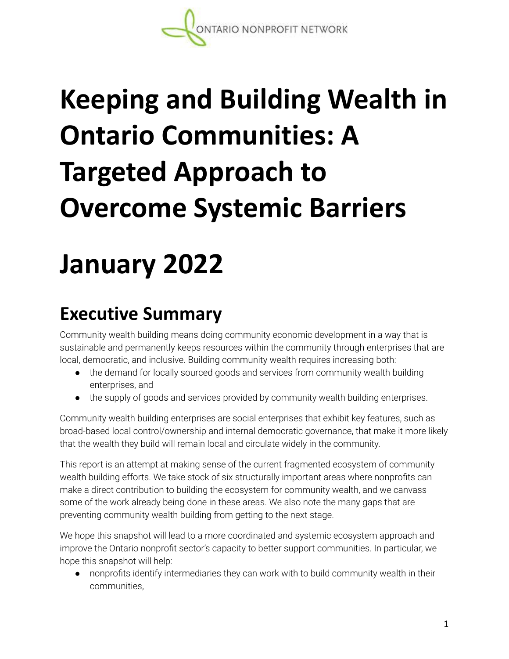# **Keeping and Building Wealth in Ontario Communities: A Targeted Approach to Overcome Systemic Barriers**

# **January 2022**

# **Executive Summary**

Community wealth building means doing community economic development in a way that is sustainable and permanently keeps resources within the community through enterprises that are local, democratic, and inclusive. Building community wealth requires increasing both:

- the demand for locally sourced goods and services from community wealth building enterprises, and
- the supply of goods and services provided by community wealth building enterprises.

Community wealth building enterprises are social enterprises that exhibit key features, such as broad-based local control/ownership and internal democratic governance, that make it more likely that the wealth they build will remain local and circulate widely in the community.

This report is an attempt at making sense of the current fragmented ecosystem of community wealth building efforts. We take stock of six structurally important areas where nonprofits can make a direct contribution to building the ecosystem for community wealth, and we canvass some of the work already being done in these areas. We also note the many gaps that are preventing community wealth building from getting to the next stage.

We hope this snapshot will lead to a more coordinated and systemic ecosystem approach and improve the Ontario nonprofit sector's capacity to better support communities. In particular, we hope this snapshot will help:

● nonprofits identify intermediaries they can work with to build community wealth in their communities,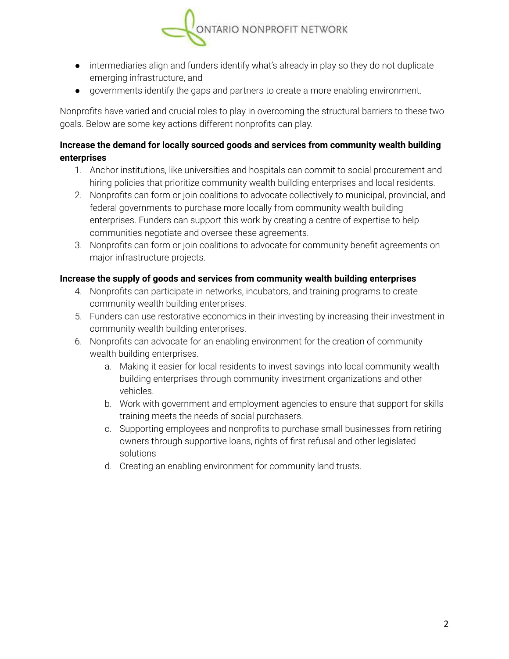

- intermediaries align and funders identify what's already in play so they do not duplicate emerging infrastructure, and
- governments identify the gaps and partners to create a more enabling environment.

Nonprofits have varied and crucial roles to play in overcoming the structural barriers to these two goals. Below are some key actions different nonprofits can play.

#### **Increase the demand for locally sourced goods and services from community wealth building enterprises**

- 1. Anchor institutions, like universities and hospitals can commit to social procurement and hiring policies that prioritize community wealth building enterprises and local residents.
- 2. Nonprofits can form or join coalitions to advocate collectively to municipal, provincial, and federal governments to purchase more locally from community wealth building enterprises. Funders can support this work by creating a centre of expertise to help communities negotiate and oversee these agreements.
- 3. Nonprofits can form or join coalitions to advocate for community benefit agreements on major infrastructure projects.

#### **Increase the supply of goods and services from community wealth building enterprises**

- 4. Nonprofits can participate in networks, incubators, and training programs to create community wealth building enterprises.
- 5. Funders can use restorative economics in their investing by increasing their investment in community wealth building enterprises.
- 6. Nonprofits can advocate for an enabling environment for the creation of community wealth building enterprises.
	- a. Making it easier for local residents to invest savings into local community wealth building enterprises through community investment organizations and other vehicles.
	- b. Work with government and employment agencies to ensure that support for skills training meets the needs of social purchasers.
	- c. Supporting employees and nonprofits to purchase small businesses from retiring owners through supportive loans, rights of first refusal and other legislated solutions
	- d. Creating an enabling environment for community land trusts.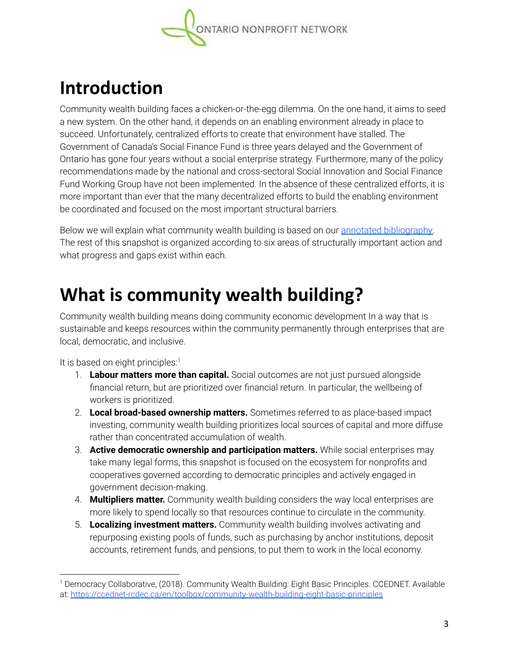

## **Introduction**

Community wealth building faces a chicken-or-the-egg dilemma. On the one hand, it aims to seed a new system. On the other hand, it depends on an enabling environment already in place to succeed. Unfortunately, centralized efforts to create that environment have stalled. The Government of Canada's Social Finance Fund is three years delayed and the Government of Ontario has gone four years without a social enterprise strategy. Furthermore, many of the policy recommendations made by the national and cross-sectoral Social Innovation and Social Finance Fund Working Group have not been implemented. In the absence of these centralized efforts, it is more important than ever that the many decentralized efforts to build the enabling environment be coordinated and focused on the most important structural barriers.

Below we will explain what community wealth building is based on our annotated [bibliography.](https://theonn.ca/our-work/our-financing/community-wealth-building/#bib) The rest of this snapshot is organized according to six areas of structurally important action and what progress and gaps exist within each.

### **What is community wealth building?**

Community wealth building means doing community economic development In a way that is sustainable and keeps resources within the community permanently through enterprises that are local, democratic, and inclusive.

It is based on eight principles:<sup>1</sup>

- 1. **Labour matters more than capital.** Social outcomes are not just pursued alongside financial return, but are prioritized over financial return. In particular, the wellbeing of workers is prioritized.
- 2. **Local broad-based ownership matters.** Sometimes referred to as place-based impact investing, community wealth building prioritizes local sources of capital and more diffuse rather than concentrated accumulation of wealth.
- 3. **Active democratic ownership and participation matters.** While social enterprises may take many legal forms, this snapshot is focused on the ecosystem for nonprofits and cooperatives governed according to democratic principles and actively engaged in government decision-making.
- 4. **Multipliers matter.** Community wealth building considers the way local enterprises are more likely to spend locally so that resources continue to circulate in the community.
- 5. **Localizing investment matters.** Community wealth building involves activating and repurposing existing pools of funds, such as purchasing by anchor institutions, deposit accounts, retirement funds, and pensions, to put them to work in the local economy.

<sup>1</sup> Democracy Collaborative, (2018). Community Wealth Building: Eight Basic Principles. CCEDNET. Available at: <https://ccednet-rcdec.ca/en/toolbox/community-wealth-building-eight-basic-principles>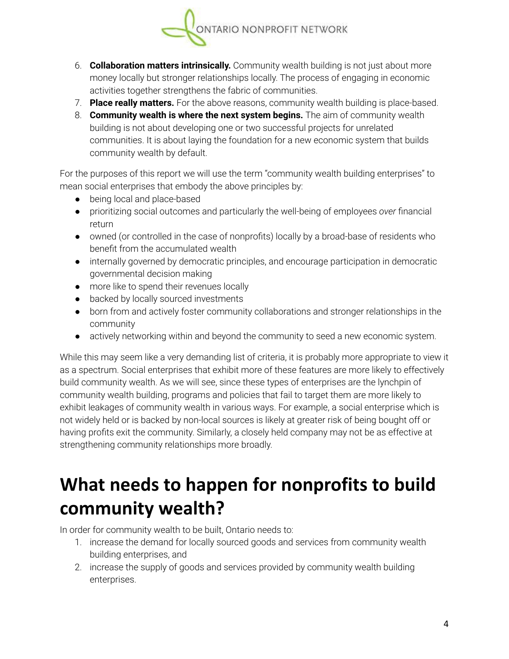

- 6. **Collaboration matters intrinsically.** Community wealth building is not just about more money locally but stronger relationships locally. The process of engaging in economic activities together strengthens the fabric of communities.
- 7. **Place really matters.** For the above reasons, community wealth building is place-based.
- 8. **Community wealth is where the next system begins.** The aim of community wealth building is not about developing one or two successful projects for unrelated communities. It is about laying the foundation for a new economic system that builds community wealth by default.

For the purposes of this report we will use the term "community wealth building enterprises" to mean social enterprises that embody the above principles by:

- being local and place-based
- prioritizing social outcomes and particularly the well-being of employees *over* financial return
- owned (or controlled in the case of nonprofits) locally by a broad-base of residents who benefit from the accumulated wealth
- internally governed by democratic principles, and encourage participation in democratic governmental decision making
- more like to spend their revenues locally
- backed by locally sourced investments
- born from and actively foster community collaborations and stronger relationships in the community
- actively networking within and beyond the community to seed a new economic system.

While this may seem like a very demanding list of criteria, it is probably more appropriate to view it as a spectrum. Social enterprises that exhibit more of these features are more likely to effectively build community wealth. As we will see, since these types of enterprises are the lynchpin of community wealth building, programs and policies that fail to target them are more likely to exhibit leakages of community wealth in various ways. For example, a social enterprise which is not widely held or is backed by non-local sources is likely at greater risk of being bought off or having profits exit the community. Similarly, a closely held company may not be as effective at strengthening community relationships more broadly.

## **What needs to happen for nonprofits to build community wealth?**

In order for community wealth to be built, Ontario needs to:

- 1. increase the demand for locally sourced goods and services from community wealth building enterprises, and
- 2. increase the supply of goods and services provided by community wealth building enterprises.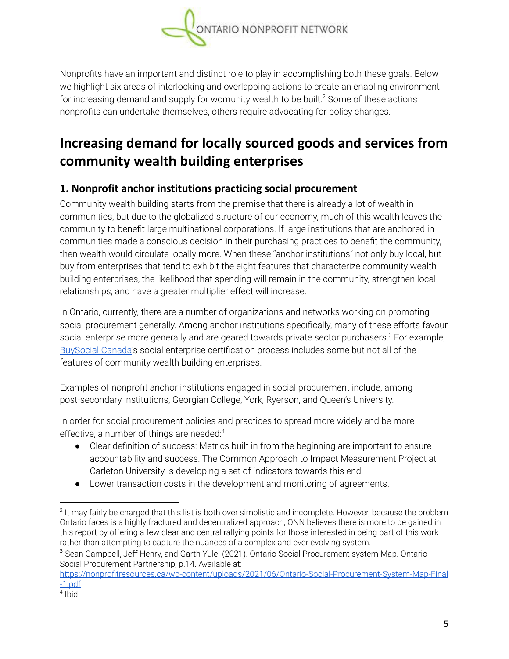

Nonprofits have an important and distinct role to play in accomplishing both these goals. Below we highlight six areas of interlocking and overlapping actions to create an enabling environment for increasing demand and supply for womunity wealth to be built.<sup>2</sup> Some of these actions nonprofits can undertake themselves, others require advocating for policy changes.

### **Increasing demand for locally sourced goods and services from community wealth building enterprises**

#### **1. Nonprofit anchor institutions practicing social procurement**

Community wealth building starts from the premise that there is already a lot of wealth in communities, but due to the globalized structure of our economy, much of this wealth leaves the community to benefit large multinational corporations. If large institutions that are anchored in communities made a conscious decision in their purchasing practices to benefit the community, then wealth would circulate locally more. When these "anchor institutions" not only buy local, but buy from enterprises that tend to exhibit the eight features that characterize community wealth building enterprises, the likelihood that spending will remain in the community, strengthen local relationships, and have a greater multiplier effect will increase.

In Ontario, currently, there are a number of organizations and networks working on promoting social procurement generally. Among anchor institutions specifically, many of these efforts favour social enterprise more generally and are geared towards private sector purchasers. $3$  For example, [BuySocial](https://www.buysocialcanada.com) Canada's social enterprise certification process includes some but not all of the features of community wealth building enterprises.

Examples of nonprofit anchor institutions engaged in social procurement include, among post-secondary institutions, Georgian College, York, Ryerson, and Queen's University.

In order for social procurement policies and practices to spread more widely and be more effective, a number of things are needed: 4

- Clear definition of success: Metrics built in from the beginning are important to ensure accountability and success. The Common Approach to Impact Measurement Project at Carleton University is developing a set of indicators towards this end.
- Lower transaction costs in the development and monitoring of agreements.

 $2$  It may fairly be charged that this list is both over simplistic and incomplete. However, because the problem Ontario faces is a highly fractured and decentralized approach, ONN believes there is more to be gained in this report by offering a few clear and central rallying points for those interested in being part of this work rather than attempting to capture the nuances of a complex and ever evolving system.

<sup>&</sup>lt;sup>3</sup> Sean Campbell, Jeff Henry, and Garth Yule. (2021). Ontario Social Procurement system Map. Ontario Social Procurement Partnership, p.14. Available at:

[https://nonprofitresources.ca/wp-content/uploads/2021/06/Ontario-Social-Procurement-System-Map-Final](https://nonprofitresources.ca/wp-content/uploads/2021/06/Ontario-Social-Procurement-System-Map-Final-1.pdf) [-1.pdf](https://nonprofitresources.ca/wp-content/uploads/2021/06/Ontario-Social-Procurement-System-Map-Final-1.pdf)

<sup>4</sup> Ibid.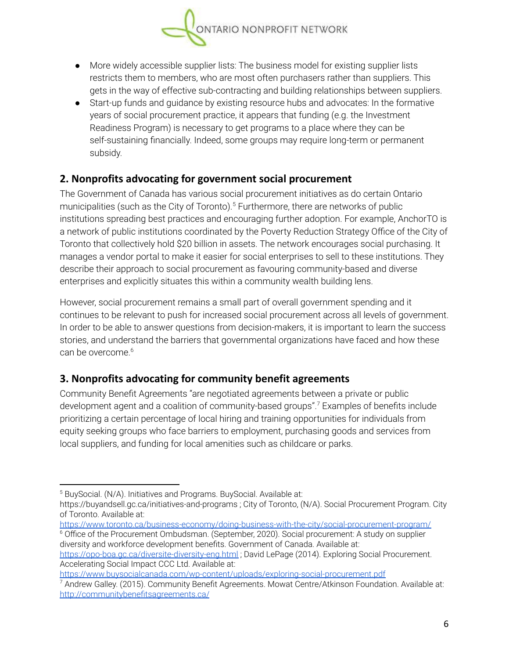

- More widely accessible supplier lists: The business model for existing supplier lists restricts them to members, who are most often purchasers rather than suppliers. This gets in the way of effective sub-contracting and building relationships between suppliers.
- Start-up funds and guidance by existing resource hubs and advocates: In the formative years of social procurement practice, it appears that funding (e.g. the Investment Readiness Program) is necessary to get programs to a place where they can be self-sustaining financially. Indeed, some groups may require long-term or permanent subsidy.

#### **2. Nonprofits advocating for government social procurement**

The Government of Canada has various social procurement initiatives as do certain Ontario municipalities (such as the City of Toronto).<sup>5</sup> Furthermore, there are networks of public institutions spreading best practices and encouraging further adoption. For example, AnchorTO is a network of public institutions coordinated by the Poverty Reduction Strategy Office of the City of Toronto that collectively hold \$20 billion in assets. The network encourages social purchasing. It manages a vendor portal to make it easier for social enterprises to sell to these institutions. They describe their approach to social procurement as favouring community-based and diverse enterprises and explicitly situates this within a community wealth building lens.

However, social procurement remains a small part of overall government spending and it continues to be relevant to push for increased social procurement across all levels of government. In order to be able to answer questions from decision-makers, it is important to learn the success stories, and understand the barriers that governmental organizations have faced and how these can be overcome. 6

#### **3. Nonprofits advocating for community benefit agreements**

Community Benefit Agreements "are negotiated agreements between a private or public development agent and a coalition of community-based groups".<sup>7</sup> Examples of benefits include prioritizing a certain percentage of local hiring and training opportunities for individuals from equity seeking groups who face barriers to employment, purchasing goods and services from local suppliers, and funding for local amenities such as childcare or parks.

<https://www.toronto.ca/business-economy/doing-business-with-the-city/social-procurement-program/>

<sup>6</sup> Office of the Procurement Ombudsman. (September, 2020). Social procurement: A study on supplier diversity and workforce development benefits. Government of Canada. Available at: <https://opo-boa.gc.ca/diversite-diversity-eng.html> ; David LePage (2014). Exploring Social Procurement. Accelerating Social Impact CCC Ltd. Available at:

<https://www.buysocialcanada.com/wp-content/uploads/exploring-social-procurement.pdf>

 $7$  Andrew Galley. (2015). Community Benefit Agreements. Mowat Centre/Atkinson Foundation. Available at: <http://communitybenefitsagreements.ca/>

<sup>5</sup> BuySocial. (N/A). Initiatives and Programs. BuySocial. Available at:

<https://buyandsell.gc.ca/initiatives-and-programs> ; City of Toronto, (N/A). Social Procurement Program. City of Toronto. Available at: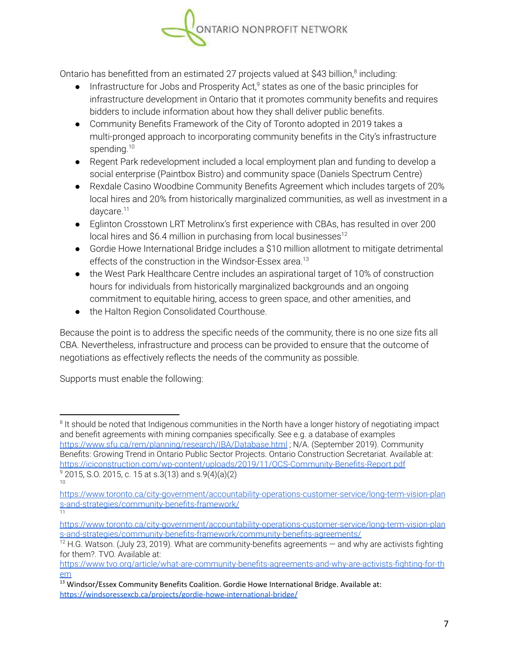

Ontario has benefitted from an estimated 27 projects valued at \$43 billion, $\textsuperscript{s}$  including:

- $\bullet$  Infrastructure for Jobs and Prosperity Act,<sup>9</sup> states as one of the basic principles for infrastructure development in Ontario that it promotes community benefits and requires bidders to include information about how they shall deliver public benefits.
- Community Benefits Framework of the City of Toronto adopted in 2019 takes a multi-pronged approach to incorporating community benefits in the City's infrastructure spending.<sup>10</sup>
- Regent Park redevelopment included a local employment plan and funding to develop a social enterprise (Paintbox Bistro) and community space (Daniels Spectrum Centre)
- Rexdale Casino Woodbine Community Benefits Agreement which includes targets of 20% local hires and 20% from historically marginalized communities, as well as investment in a daycare.<sup>11</sup>
- Eglinton Crosstown LRT Metrolinx's first experience with CBAs, has resulted in over 200 local hires and \$6.4 million in purchasing from local businesses<sup>12</sup>
- Gordie Howe International Bridge includes a \$10 million allotment to mitigate detrimental effects of the construction in the Windsor-Essex area. 13
- the West Park Healthcare Centre includes an aspirational target of 10% of construction hours for individuals from historically marginalized backgrounds and an ongoing commitment to equitable hiring, access to green space, and other amenities, and
- **●** the Halton Region Consolidated Courthouse.

Because the point is to address the specific needs of the community, there is no one size fits all CBA. Nevertheless, infrastructure and process can be provided to ensure that the outcome of negotiations as effectively reflects the needs of the community as possible.

Supports must enable the following:

<sup>&</sup>lt;sup>8</sup> It should be noted that Indigenous communities in the North have a longer history of negotiating impact and benefit agreements with mining companies specifically. See e.g. a database of examples <https://www.sfu.ca/rem/planning/research/IBA/Database.html> ; N/A. (September 2019). Community Benefits: Growing Trend in Ontario Public Sector Projects. Ontario Construction Secretariat. Available at: <https://iciconstruction.com/wp-content/uploads/2019/11/OCS-Community-Benefits-Report.pdf>

<sup>10</sup>  $9$  2015, S.O. 2015, c. 15 at s.3(13) and s.9(4)(a)(2)

<sup>11</sup> [https://www.toronto.ca/city-government/accountability-operations-customer-service/long-term-vision-plan](https://www.toronto.ca/city-government/accountability-operations-customer-service/long-term-vision-plans-and-strategies/community-benefits-framework/) [s-and-strategies/community-benefits-framework/](https://www.toronto.ca/city-government/accountability-operations-customer-service/long-term-vision-plans-and-strategies/community-benefits-framework/)

[https://www.toronto.ca/city-government/accountability-operations-customer-service/long-term-vision-plan](https://www.toronto.ca/city-government/accountability-operations-customer-service/long-term-vision-plans-and-strategies/community-benefits-framework/community-benefits-agreements/) [s-and-strategies/community-benefits-framework/community-benefits-agreements/](https://www.toronto.ca/city-government/accountability-operations-customer-service/long-term-vision-plans-and-strategies/community-benefits-framework/community-benefits-agreements/)

 $12$  H.G. Watson. (July 23, 2019). What are community-benefits agreements  $-$  and why are activists fighting for them?. TVO. Available at:

[https://www.tvo.org/article/what-are-community-benefits-agreements-and-why-are-activists-fighting-for-th](https://www.tvo.org/article/what-are-community-benefits-agreements-and-why-are-activists-fighting-for-them) [em](https://www.tvo.org/article/what-are-community-benefits-agreements-and-why-are-activists-fighting-for-them)

 $13$  Windsor/Essex Community Benefits Coalition. Gordie Howe International Bridge. Available at: <https://windsoressexcb.ca/projects/gordie-howe-international-bridge/>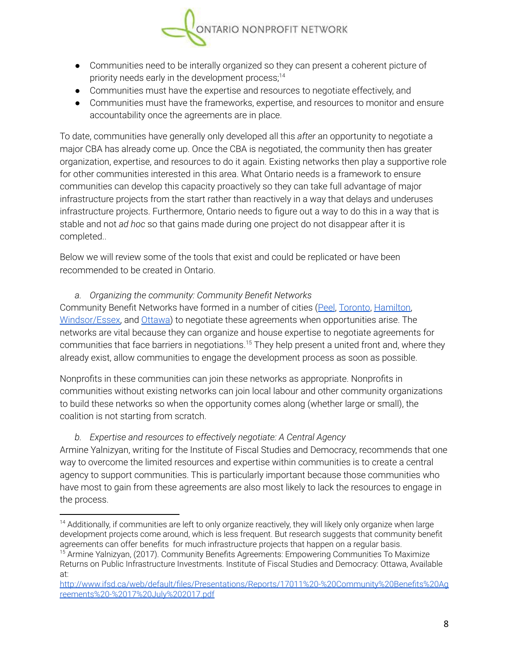

- Communities need to be interally organized so they can present a coherent picture of priority needs early in the development process; 14
- Communities must have the expertise and resources to negotiate effectively, and
- Communities must have the frameworks, expertise, and resources to monitor and ensure accountability once the agreements are in place.

To date, communities have generally only developed all this *after* an opportunity to negotiate a major CBA has already come up. Once the CBA is negotiated, the community then has greater organization, expertise, and resources to do it again. Existing networks then play a supportive role for other communities interested in this area. What Ontario needs is a framework to ensure communities can develop this capacity proactively so they can take full advantage of major infrastructure projects from the start rather than reactively in a way that delays and underuses infrastructure projects. Furthermore, Ontario needs to figure out a way to do this in a way that is stable and not *ad hoc* so that gains made during one project do not disappear after it is completed..

Below we will review some of the tools that exist and could be replicated or have been recommended to be created in Ontario.

*a. Organizing the community: Community Benefit Networks*

Community Benefit Networks have formed in a number of cities ([Peel](https://www.pcbn.ca/), [Toronto](https://www.communitybenefits.ca/), [Hamilton](https://hcbn.ca/), [Windsor/Essex,](https://windsoressexcb.ca/) and [Ottawa\)](https://ottawacommunitybenefits.ca/) to negotiate these agreements when opportunities arise. The networks are vital because they can organize and house expertise to negotiate agreements for communities that face barriers in negotiations.<sup>15</sup> They help present a united front and, where they already exist, allow communities to engage the development process as soon as possible.

Nonprofits in these communities can join these networks as appropriate. Nonprofits in communities without existing networks can join local labour and other community organizations to build these networks so when the opportunity comes along (whether large or small), the coalition is not starting from scratch.

#### *b. Expertise and resources to effectively negotiate: A Central Agency*

Armine Yalnizyan, writing for the Institute of Fiscal Studies and Democracy, recommends that one way to overcome the limited resources and expertise within communities is to create a central agency to support communities. This is particularly important because those communities who have most to gain from these agreements are also most likely to lack the resources to engage in the process.

<sup>&</sup>lt;sup>15</sup> Armine Yalnizyan, (2017). Community Benefits Agreements: Empowering Communities To Maximize <sup>14</sup> Additionally, if communities are left to only organize reactively, they will likely only organize when large development projects come around, which is less frequent. But research suggests that community benefit agreements can offer benefits for much infrastructure projects that happen on a regular basis.

Returns on Public Infrastructure Investments. Institute of Fiscal Studies and Democracy: Ottawa, Available at:

[http://www.ifsd.ca/web/default/files/Presentations/Reports/17011%20-%20Community%20Benefits%20Ag](http://www.ifsd.ca/web/default/files/Presentations/Reports/17011%20-%20Community%20Benefits%20Agreements%20-%2017%20July%202017.pdf) [reements%20-%2017%20July%202017.pdf](http://www.ifsd.ca/web/default/files/Presentations/Reports/17011%20-%20Community%20Benefits%20Agreements%20-%2017%20July%202017.pdf)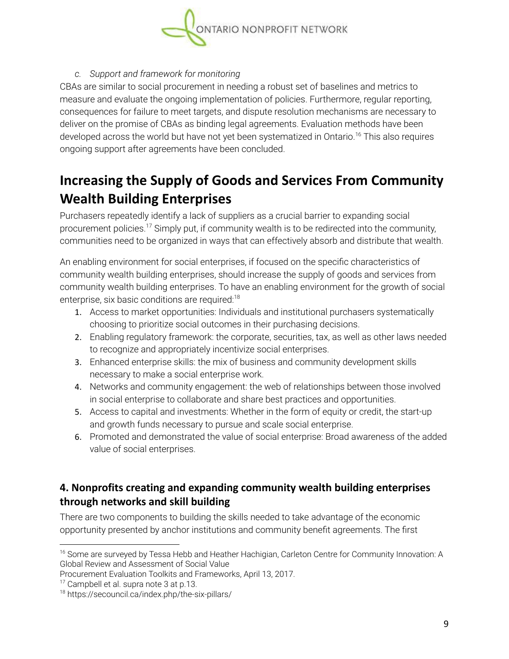

#### *c. Support and framework for monitoring*

CBAs are similar to social procurement in needing a robust set of baselines and metrics to measure and evaluate the ongoing implementation of policies. Furthermore, regular reporting, consequences for failure to meet targets, and dispute resolution mechanisms are necessary to deliver on the promise of CBAs as binding legal agreements. Evaluation methods have been developed across the world but have not yet been systematized in Ontario.<sup>16</sup> This also requires ongoing support after agreements have been concluded.

### **Increasing the Supply of Goods and Services From Community Wealth Building Enterprises**

Purchasers repeatedly identify a lack of suppliers as a crucial barrier to expanding social procurement policies.<sup>17</sup> Simply put, if community wealth is to be redirected into the community, communities need to be organized in ways that can effectively absorb and distribute that wealth.

An enabling environment for social enterprises, if focused on the specific characteristics of community wealth building enterprises, should increase the supply of goods and services from community wealth building enterprises. To have an enabling environment for the growth of social enterprise, six basic conditions are required:<sup>18</sup>

- 1. Access to market opportunities: Individuals and institutional purchasers systematically choosing to prioritize social outcomes in their purchasing decisions.
- 2. Enabling regulatory framework: the corporate, securities, tax, as well as other laws needed to recognize and appropriately incentivize social enterprises.
- 3. Enhanced enterprise skills: the mix of business and community development skills necessary to make a social enterprise work.
- 4. Networks and community engagement: the web of relationships between those involved in social enterprise to collaborate and share best practices and opportunities.
- 5. Access to capital and investments: Whether in the form of equity or credit, the start-up and growth funds necessary to pursue and scale social enterprise.
- 6. Promoted and demonstrated the value of social enterprise: Broad awareness of the added value of social enterprises.

#### **4. Nonprofits creating and expanding community wealth building enterprises through networks and skill building**

There are two components to building the skills needed to take advantage of the economic opportunity presented by anchor institutions and community benefit agreements. The first

<sup>&</sup>lt;sup>16</sup> Some are surveyed by Tessa Hebb and Heather Hachigian, Carleton Centre for Community Innovation: A Global Review and Assessment of Social Value

Procurement Evaluation Toolkits and Frameworks, April 13, 2017.

<sup>&</sup>lt;sup>17</sup> Campbell et al. supra note 3 at p.13.

<sup>18</sup> https://secouncil.ca/index.php/the-six-pillars/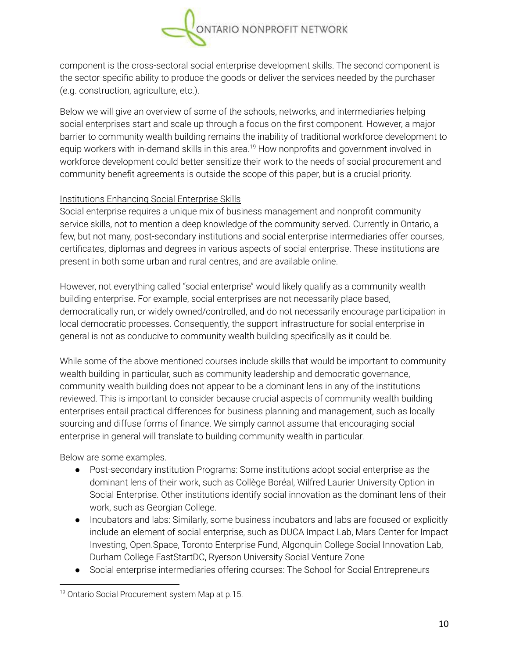

component is the cross-sectoral social enterprise development skills. The second component is the sector-specific ability to produce the goods or deliver the services needed by the purchaser (e.g. construction, agriculture, etc.).

Below we will give an overview of some of the schools, networks, and intermediaries helping social enterprises start and scale up through a focus on the first component. However, a major barrier to community wealth building remains the inability of traditional workforce development to equip workers with in-demand skills in this area.<sup>19</sup> How nonprofits and government involved in workforce development could better sensitize their work to the needs of social procurement and community benefit agreements is outside the scope of this paper, but is a crucial priority.

#### Institutions Enhancing Social Enterprise Skills

Social enterprise requires a unique mix of business management and nonprofit community service skills, not to mention a deep knowledge of the community served. Currently in Ontario, a few, but not many, post-secondary institutions and social enterprise intermediaries offer courses, certificates, diplomas and degrees in various aspects of social enterprise. These institutions are present in both some urban and rural centres, and are available online.

However, not everything called "social enterprise" would likely qualify as a community wealth building enterprise. For example, social enterprises are not necessarily place based, democratically run, or widely owned/controlled, and do not necessarily encourage participation in local democratic processes. Consequently, the support infrastructure for social enterprise in general is not as conducive to community wealth building specifically as it could be.

While some of the above mentioned courses include skills that would be important to community wealth building in particular, such as community leadership and democratic governance, community wealth building does not appear to be a dominant lens in any of the institutions reviewed. This is important to consider because crucial aspects of community wealth building enterprises entail practical differences for business planning and management, such as locally sourcing and diffuse forms of finance. We simply cannot assume that encouraging social enterprise in general will translate to building community wealth in particular.

Below are some examples.

- Post-secondary institution Programs: Some institutions adopt social enterprise as the dominant lens of their work, such as Collège Boréal, Wilfred Laurier University Option in Social Enterprise. Other institutions identify social innovation as the dominant lens of their work, such as Georgian College.
- Incubators and labs: Similarly, some business incubators and labs are focused or explicitly include an element of social enterprise, such as DUCA Impact Lab, Mars Center for Impact Investing, Open.Space, Toronto Enterprise Fund, Algonquin College Social Innovation Lab, Durham College FastStartDC, Ryerson University Social Venture Zone
- Social enterprise intermediaries offering courses: The School for Social Entrepreneurs

<sup>&</sup>lt;sup>19</sup> Ontario Social Procurement system Map at p.15.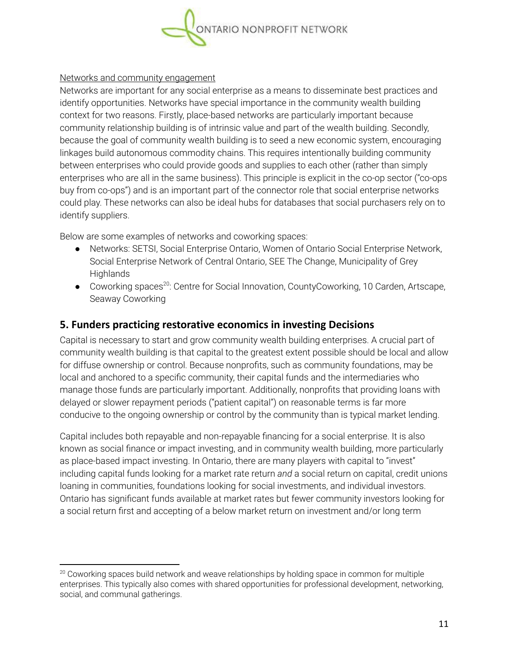

#### Networks and community engagement

Networks are important for any social enterprise as a means to disseminate best practices and identify opportunities. Networks have special importance in the community wealth building context for two reasons. Firstly, place-based networks are particularly important because community relationship building is of intrinsic value and part of the wealth building. Secondly, because the goal of community wealth building is to seed a new economic system, encouraging linkages build autonomous commodity chains. This requires intentionally building community between enterprises who could provide goods and supplies to each other (rather than simply enterprises who are all in the same business). This principle is explicit in the co-op sector ("co-ops buy from co-ops") and is an important part of the connector role that social enterprise networks could play. These networks can also be ideal hubs for databases that social purchasers rely on to identify suppliers.

Below are some examples of networks and coworking spaces:

- Networks: SETSI, Social Enterprise Ontario, Women of Ontario Social Enterprise Network, Social Enterprise Network of Central Ontario, SEE The Change, Municipality of Grey **Highlands**
- Coworking spaces<sup>20</sup>: Centre for Social Innovation, CountyCoworking, 10 Carden, Artscape, Seaway Coworking

#### **5. Funders practicing restorative economics in investing Decisions**

Capital is necessary to start and grow community wealth building enterprises. A crucial part of community wealth building is that capital to the greatest extent possible should be local and allow for diffuse ownership or control. Because nonprofits, such as community foundations, may be local and anchored to a specific community, their capital funds and the intermediaries who manage those funds are particularly important. Additionally, nonprofits that providing loans with delayed or slower repayment periods ("patient capital") on reasonable terms is far more conducive to the ongoing ownership or control by the community than is typical market lending.

Capital includes both repayable and non-repayable financing for a social enterprise. It is also known as social finance or impact investing, and in community wealth building, more particularly as place-based impact investing. In Ontario, there are many players with capital to "invest" including capital funds looking for a market rate return *and* a social return on capital, credit unions loaning in communities, foundations looking for social investments, and individual investors. Ontario has significant funds available at market rates but fewer community investors looking for a social return first and accepting of a below market return on investment and/or long term

 $20$  Coworking spaces build network and weave relationships by holding space in common for multiple enterprises. This typically also comes with shared opportunities for professional development, networking, social, and communal gatherings.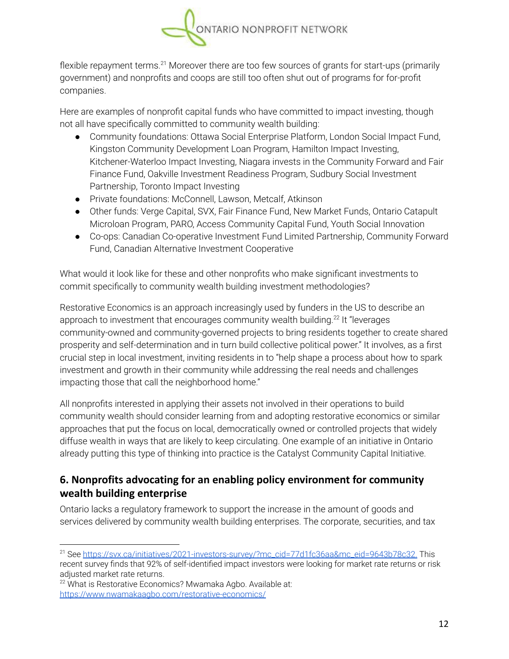

flexible repayment terms.<sup>21</sup> Moreover there are too few sources of grants for start-ups (primarily government) and nonprofits and coops are still too often shut out of programs for for-profit companies.

Here are examples of nonprofit capital funds who have committed to impact investing, though not all have specifically committed to community wealth building:

- Community foundations: Ottawa Social Enterprise Platform, London Social Impact Fund, Kingston Community Development Loan Program, Hamilton Impact Investing, Kitchener-Waterloo Impact Investing, Niagara invests in the Community Forward and Fair Finance Fund, Oakville Investment Readiness Program, Sudbury Social Investment Partnership, Toronto Impact Investing
- Private foundations: McConnell, Lawson, Metcalf, Atkinson
- Other funds: Verge Capital, SVX, Fair Finance Fund, New Market Funds, Ontario Catapult Microloan Program, PARO, Access Community Capital Fund, Youth Social Innovation
- Co-ops: Canadian Co-operative Investment Fund Limited Partnership, Community Forward Fund, Canadian Alternative Investment Cooperative

What would it look like for these and other nonprofits who make significant investments to commit specifically to community wealth building investment methodologies?

Restorative Economics is an approach increasingly used by funders in the US to describe an approach to investment that encourages community wealth building.<sup>22</sup> It "leverages community-owned and community-governed projects to bring residents together to create shared prosperity and self-determination and in turn build collective political power." It involves, as a first crucial step in local investment, inviting residents in to "help shape a process about how to spark investment and growth in their community while addressing the real needs and challenges impacting those that call the neighborhood home."

All nonprofits interested in applying their assets not involved in their operations to build community wealth should consider learning from and adopting restorative economics or similar approaches that put the focus on local, democratically owned or controlled projects that widely diffuse wealth in ways that are likely to keep circulating. One example of an initiative in Ontario already putting this type of thinking into practice is the Catalyst Community Capital Initiative.

#### **6. Nonprofits advocating for an enabling policy environment for community wealth building enterprise**

Ontario lacks a regulatory framework to support the increase in the amount of goods and services delivered by community wealth building enterprises. The corporate, securities, and tax

<sup>&</sup>lt;sup>21</sup> See [https://svx.ca/initiatives/2021-investors-survey/?mc\\_cid=77d1fc36aa&mc\\_eid=9643b78c32.](https://svx.ca/initiatives/2021-investors-survey/?mc_cid=77d1fc36aa&mc_eid=9643b78c32) This recent survey finds that 92% of self-identified impact investors were looking for market rate returns or risk adjusted market rate returns.

<sup>&</sup>lt;sup>22</sup> What is Restorative Economics? Mwamaka Agbo. Available at: <https://www.nwamakaagbo.com/restorative-economics/>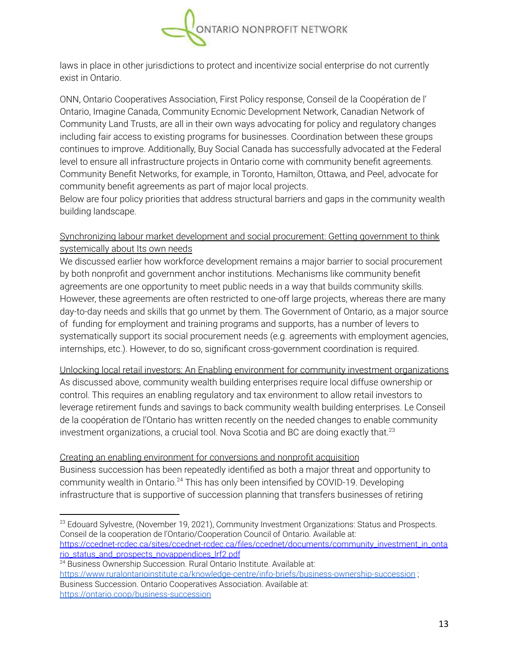

laws in place in other jurisdictions to protect and incentivize social enterprise do not currently exist in Ontario.

ONN, Ontario Cooperatives Association, First Policy response, Conseil de la Coopération de l' Ontario, Imagine Canada, Community Ecnomic Development Network, Canadian Network of Community Land Trusts, are all in their own ways advocating for policy and regulatory changes including fair access to existing programs for businesses. Coordination between these groups continues to improve. Additionally, Buy Social Canada has successfully advocated at the Federal level to ensure all infrastructure projects in Ontario come with community benefit agreements. Community Benefit Networks, for example, in Toronto, Hamilton, Ottawa, and Peel, advocate for community benefit agreements as part of major local projects.

Below are four policy priorities that address structural barriers and gaps in the community wealth building landscape.

#### Synchronizing labour market development and social procurement: Getting government to think systemically about Its own needs

We discussed earlier how workforce development remains a major barrier to social procurement by both nonprofit and government anchor institutions. Mechanisms like community benefit agreements are one opportunity to meet public needs in a way that builds community skills. However, these agreements are often restricted to one-off large projects, whereas there are many day-to-day needs and skills that go unmet by them. The Government of Ontario, as a major source of funding for employment and training programs and supports, has a number of levers to systematically support its social procurement needs (e.g. agreements with employment agencies, internships, etc.). However, to do so, significant cross-government coordination is required.

Unlocking local retail investors: An Enabling environment for community investment organizations As discussed above, community wealth building enterprises require local diffuse ownership or control. This requires an enabling regulatory and tax environment to allow retail investors to leverage retirement funds and savings to back community wealth building enterprises. Le Conseil de la coopération de l'Ontario has written recently on the needed changes to enable community investment organizations, a crucial tool. Nova Scotia and BC are doing exactly that.<sup>23</sup>

#### Creating an enabling environment for conversions and nonprofit acquisition

Business succession has been repeatedly identified as both a major threat and opportunity to community wealth in Ontario.<sup>24</sup> This has only been intensified by COVID-19. Developing infrastructure that is supportive of succession planning that transfers businesses of retiring

<sup>24</sup> Business Ownership Succession. Rural Ontario Institute. Available at: <https://www.ruralontarioinstitute.ca/knowledge-centre/info-briefs/business-ownership-succession> ; Business Succession. Ontario Cooperatives Association. Available at:

 $23$  Edouard Sylvestre, (November 19, 2021), Community Investment Organizations: Status and Prospects. Conseil de la cooperation de l'Ontario/Cooperation Council of Ontario. Available at: [https://ccednet-rcdec.ca/sites/ccednet-rcdec.ca/files/ccednet/documents/community\\_investment\\_in\\_onta](https://ccednet-rcdec.ca/sites/ccednet-rcdec.ca/files/ccednet/documents/community_investment_in_ontario_status_and_prospects_novappendices_lrf2.pdf) [rio\\_status\\_and\\_prospects\\_novappendices\\_lrf2.pdf](https://ccednet-rcdec.ca/sites/ccednet-rcdec.ca/files/ccednet/documents/community_investment_in_ontario_status_and_prospects_novappendices_lrf2.pdf)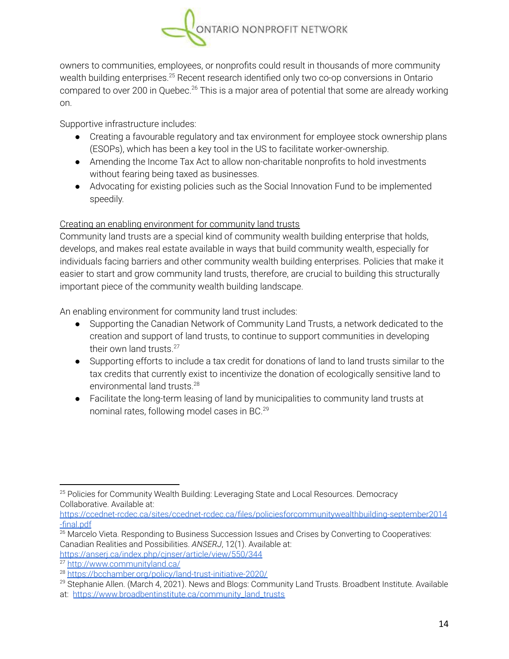

owners to communities, employees, or nonprofits could result in thousands of more community wealth building enterprises. $25$  Recent research identified only two co-op conversions in Ontario compared to over 200 in Quebec.<sup>26</sup> This is a major area of potential that some are already working on.

Supportive infrastructure includes:

- Creating a favourable regulatory and tax environment for employee stock ownership plans (ESOPs), which has been a key tool in the US to facilitate worker-ownership.
- Amending the Income Tax Act to allow non-charitable nonprofits to hold investments without fearing being taxed as businesses.
- Advocating for existing policies such as the Social Innovation Fund to be implemented speedily.

#### Creating an enabling environment for community land trusts

Community land trusts are a special kind of community wealth building enterprise that holds, develops, and makes real estate available in ways that build community wealth, especially for individuals facing barriers and other community wealth building enterprises. Policies that make it easier to start and grow community land trusts, therefore, are crucial to building this structurally important piece of the community wealth building landscape.

An enabling environment for community land trust includes:

- Supporting the Canadian Network of Community Land Trusts, a network dedicated to the creation and support of land trusts, to continue to support communities in developing their own land trusts.<sup>27</sup>
- Supporting efforts to include a tax credit for donations of land to land trusts similar to the tax credits that currently exist to incentivize the donation of ecologically sensitive land to environmental land trusts. 28
- Facilitate the long-term leasing of land by municipalities to community land trusts at nominal rates, following model cases in BC. 29

[https://ccednet-rcdec.ca/sites/ccednet-rcdec.ca/files/policiesforcommunitywealthbuilding-september2014](https://ccednet-rcdec.ca/sites/ccednet-rcdec.ca/files/policiesforcommunitywealthbuilding-september2014-final.pdf) [-final.pdf](https://ccednet-rcdec.ca/sites/ccednet-rcdec.ca/files/policiesforcommunitywealthbuilding-september2014-final.pdf)

<sup>&</sup>lt;sup>25</sup> Policies for Community Wealth Building: Leveraging State and Local Resources. Democracy Collaborative. Available at:

<sup>&</sup>lt;sup>26</sup> Marcelo Vieta. Responding to Business Succession Issues and Crises by Converting to Cooperatives: Canadian Realities and Possibilities. *ANSERJ*, 12(1). Available at: <https://anserj.ca/index.php/cjnser/article/view/550/344>

<sup>27</sup> <http://www.communityland.ca/>

<sup>28</sup> <https://bcchamber.org/policy/land-trust-initiative-2020/>

<sup>&</sup>lt;sup>29</sup> Stephanie Allen. (March 4, 2021). News and Blogs: Community Land Trusts. Broadbent Institute. Available

at: [https://www.broadbentinstitute.ca/community\\_land\\_trusts](https://www.broadbentinstitute.ca/community_land_trusts)